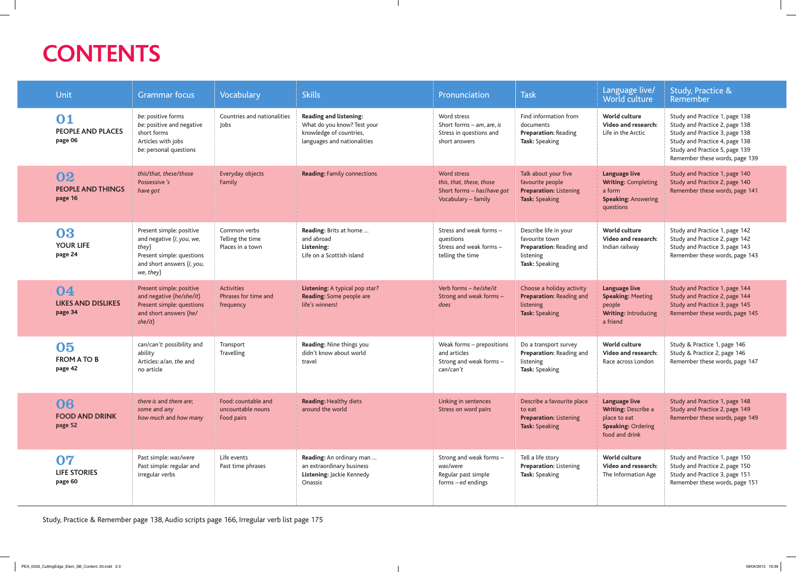## **CONTENTS**

| Unit                                       | <b>Grammar focus</b>                                                                                                                   | <b>Vocabulary</b>                                      | <b>Skills</b>                                                                                                          | Pronunciation                                                                                | <b>Task</b>                                                                                        | Language live/<br>World culture                                                                            |
|--------------------------------------------|----------------------------------------------------------------------------------------------------------------------------------------|--------------------------------------------------------|------------------------------------------------------------------------------------------------------------------------|----------------------------------------------------------------------------------------------|----------------------------------------------------------------------------------------------------|------------------------------------------------------------------------------------------------------------|
| 01<br><b>PEOPLE AND PLACES</b><br>page 06  | be: positive forms<br>be: positive and negative<br>short forms<br>Articles with jobs<br>be: personal questions                         | Countries and nationalities<br>Jobs                    | <b>Reading and listening:</b><br>What do you know? Test your<br>knowledge of countries,<br>languages and nationalities | Word stress<br>Short forms $- am$ , are, is<br>Stress in questions and<br>short answers      | Find information from<br>documents<br><b>Preparation: Reading</b><br><b>Task: Speaking</b>         | World culture<br><b>Video and research</b><br>Life in the Arctic                                           |
| 02<br><b>PEOPLE AND THINGS</b><br>page 16  | this/that, these/those<br>Possessive 's<br>have got                                                                                    | Everyday objects<br>Family                             | <b>Reading: Family connections</b>                                                                                     | Word stress<br>this, that, these, those<br>Short forms - has/have got<br>Vocabulary - family | Talk about your five<br>favourite people<br><b>Preparation: Listening</b><br><b>Task: Speaking</b> | <b>Language live</b><br><b>Writing: Completin</b><br>a form<br><b>Speaking: Answerin</b><br>questions      |
| 03<br><b>YOUR LIFE</b><br>page 24          | Present simple: positive<br>and negative (I, you, we,<br>they)<br>Present simple: questions<br>and short answers (I, you,<br>we, they) | Common verbs<br>Telling the time<br>Places in a town   | Reading: Brits at home<br>and abroad<br>Listening:<br>Life on a Scottish island                                        | Stress and weak forms -<br>questions<br>Stress and weak forms -<br>telling the time          | Describe life in your<br>favourite town<br>Preparation: Reading and<br>listening<br>Task: Speaking | World culture<br><b>Video and research</b><br>Indian railway                                               |
| 04<br><b>LIKES AND DISLIKES</b><br>page 34 | Present simple: positive<br>and negative (he/she/it)<br>Present simple: questions<br>and short answers (he/<br>she/it)                 | <b>Activities</b><br>Phrases for time and<br>frequency | Listening: A typical pop star?<br>Reading: Some people are<br>life's winners!                                          | Verb forms - he/she/it<br>Strong and weak forms -<br>does                                    | Choose a holiday activity<br>Preparation: Reading and<br>listening<br><b>Task: Speaking</b>        | <b>Language live</b><br><b>Speaking: Meeting</b><br>people<br>Writing: Introducin<br>a friend              |
| 05<br><b>FROM A TO B</b><br>page 42        | can/can't: possibility and<br>ability<br>Articles: a/an, the and<br>no article                                                         | Transport<br>Travelling                                | Reading: Nine things you<br>didn't know about world<br>travel                                                          | Weak forms - prepositions<br>and articles<br>Strong and weak forms -<br>can/can't            | Do a transport survey<br>Preparation: Reading and<br>listening<br>Task: Speaking                   | World culture<br><b>Video and research</b><br>Race across London                                           |
| 06<br><b>FOOD AND DRINK</b><br>page 52     | there is and there are;<br>some and any<br>how much and how many                                                                       | Food: countable and<br>uncountable nouns<br>Food pairs | <b>Reading: Healthy diets</b><br>around the world                                                                      | Linking in sentences<br>Stress on word pairs                                                 | Describe a favourite place<br>to eat<br><b>Preparation: Listening</b><br><b>Task: Speaking</b>     | <b>Language live</b><br>Writing: Describe a<br>place to eat<br><b>Speaking: Ordering</b><br>food and drink |
| 07<br><b>LIFE STORIES</b><br>page 60       | Past simple: was/were<br>Past simple: regular and<br>irregular verbs                                                                   | Life events<br>Past time phrases                       | Reading: An ordinary man<br>an extraordinary business<br>Listening: Jackie Kennedy<br>Onassis                          | Strong and weak forms -<br>was/were<br>Regular past simple<br>$forms - ed$ endings           | Tell a life story<br><b>Preparation: Listening</b><br>Task: Speaking                               | World culture<br>Video and research<br>The Information Age                                                 |

| Language live/<br>World culture                                                                                   | <b>Study, Practice &amp;</b><br>Remember                                                                                                                                                                 |
|-------------------------------------------------------------------------------------------------------------------|----------------------------------------------------------------------------------------------------------------------------------------------------------------------------------------------------------|
| World culture<br><b>Video and research:</b><br>Life in the Arctic                                                 | Study and Practice 1, page 138<br>Study and Practice 2, page 138<br>Study and Practice 3, page 138<br>Study and Practice 4, page 138<br>Study and Practice 5, page 139<br>Remember these words, page 139 |
| <b>Language live</b><br><b>Writing: Completing</b><br>a form<br><b>Speaking: Answering</b><br>questions           | Study and Practice 1, page 140<br>Study and Practice 2, page 140<br>Remember these words, page 141                                                                                                       |
| World culture<br><b>Video and research:</b><br>Indian railway                                                     | Study and Practice 1, page 142<br>Study and Practice 2, page 142<br>Study and Practice 3, page 143<br>Remember these words, page 143                                                                     |
| <b>Language live</b><br><b>Speaking: Meeting</b><br>people<br>Writing: Introducing<br>a friend                    | Study and Practice 1, page 144<br>Study and Practice 2, page 144<br>Study and Practice 3, page 145<br>Remember these words, page 145                                                                     |
| <b>World culture</b><br><b>Video and research:</b><br>Race across London                                          | Study & Practice 1, page 146<br>Study & Practice 2, page 146<br>Remember these words, page 147                                                                                                           |
| <b>Language live</b><br><b>Writing: Describe a</b><br>place to eat<br><b>Speaking: Ordering</b><br>food and drink | Study and Practice 1, page 148<br>Study and Practice 2, page 149<br>Remember these words, page 149                                                                                                       |
| World culture<br><b>Video and research:</b><br>The Information Age                                                | Study and Practice 1, page 150<br>Study and Practice 2, page 150<br>Study and Practice 3, page 151<br>Remember these words, page 151                                                                     |